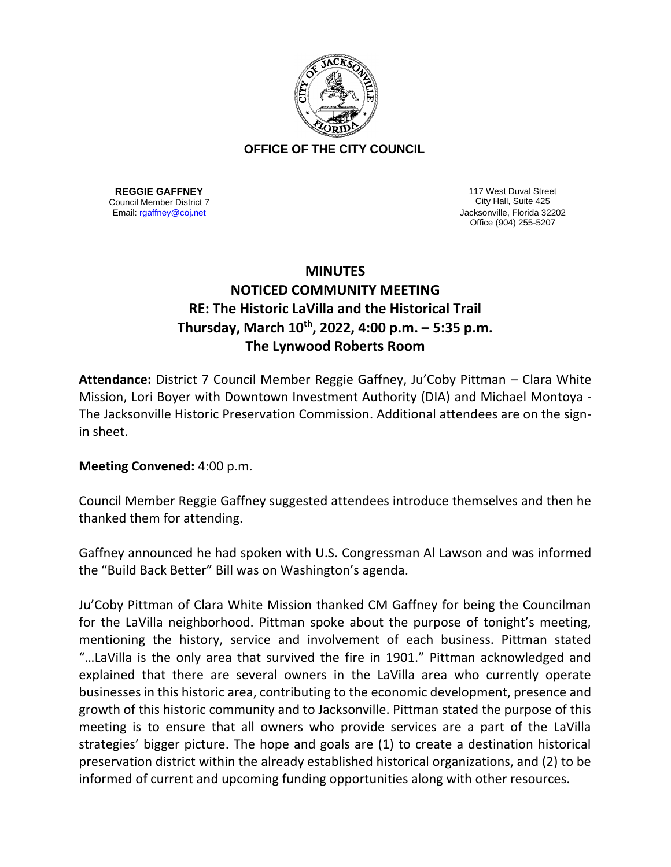

## **OFFICE OF THE CITY COUNCIL**

**REGGIE GAFFNEY** Council Member District 7

117 West Duval Street City Hall, Suite 425 Email[: rgaffney@coj.net](mailto:rgaffney@coj.net) Jacksonville, Florida 32202 Office (904) 255-5207

## **MINUTES NOTICED COMMUNITY MEETING RE: The Historic LaVilla and the Historical Trail Thursday, March 10th, 2022, 4:00 p.m. – 5:35 p.m. The Lynwood Roberts Room**

**Attendance:** District 7 Council Member Reggie Gaffney, Ju'Coby Pittman – Clara White Mission, Lori Boyer with Downtown Investment Authority (DIA) and Michael Montoya - The Jacksonville Historic Preservation Commission. Additional attendees are on the signin sheet.

**Meeting Convened:** 4:00 p.m.

Council Member Reggie Gaffney suggested attendees introduce themselves and then he thanked them for attending.

Gaffney announced he had spoken with U.S. Congressman Al Lawson and was informed the "Build Back Better" Bill was on Washington's agenda.

Ju'Coby Pittman of Clara White Mission thanked CM Gaffney for being the Councilman for the LaVilla neighborhood. Pittman spoke about the purpose of tonight's meeting, mentioning the history, service and involvement of each business. Pittman stated "…LaVilla is the only area that survived the fire in 1901." Pittman acknowledged and explained that there are several owners in the LaVilla area who currently operate businesses in this historic area, contributing to the economic development, presence and growth of this historic community and to Jacksonville. Pittman stated the purpose of this meeting is to ensure that all owners who provide services are a part of the LaVilla strategies' bigger picture. The hope and goals are (1) to create a destination historical preservation district within the already established historical organizations, and (2) to be informed of current and upcoming funding opportunities along with other resources.